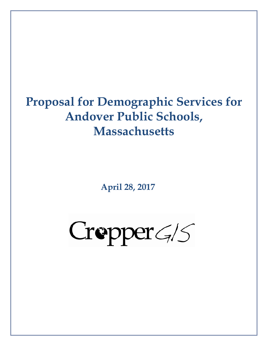# **Proposal for Demographic Services for Andover Public Schools, Massachusetts**

**April 28, 2017** 

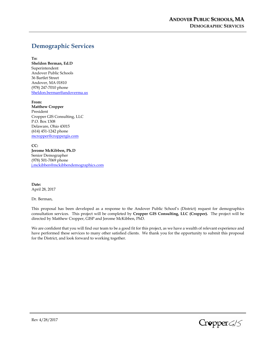# **Demographic Services**

**To: Sheldon Berman, Ed.D**  Superintendent Andover Public Schools 36 Bartlet Street Andover, MA 01810 (978) 247-7010 phone Sheldon.berman@andoverma.us

**From: Matthew Cropper**  President Cropper GIS Consulting, LLC P.O. Box 1308 Delaware, Ohio 43015 (614) 451-1242 phone mcropper@croppergis.com

**CC: Jerome McKibben, Ph.D**  Senior Demographer (978) 501-7069 phone j.mckibben@mckibbendemographics.com

**Date:**  April 28, 2017

Dr. Berman,

This proposal has been developed as a response to the Andover Public School's (District) request for demographics consultation services. This project will be completed by **Cropper GIS Consulting, LLC (Cropper).** The project will be directed by Matthew Cropper, GISP and Jerome McKibben, PhD.

We are confident that you will find our team to be a good fit for this project, as we have a wealth of relevant experience and have performed these services to many other satisfied clients. We thank you for the opportunity to submit this proposal for the District, and look forward to working together.

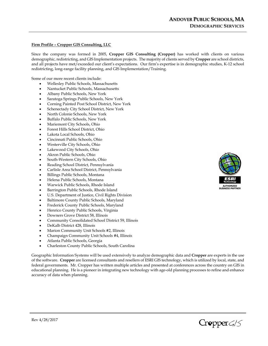# **Firm Profile – Cropper GIS Consulting, LLC**

Since the company was formed in 2005, **Cropper GIS Consulting (Cropper)** has worked with clients on various demographic, redistricting, and GIS Implementation projects. The majority of clients served by **Cropper** are school districts, and all projects have met/exceeded our client's expectations. Our firm's expertise is in demographic studies, K-12 school redistricting, long-range facility planning, and GIS Implementation/Training.

Some of our more recent clients include:

- Wellesley Public Schools, Massachusetts
- Nantucket Public Schools, Massachusetts
- Albany Public Schools, New York
- Saratoga Springs Public Schools, New York
- Corning Painted Post School District, New York
- Schenectady City School District, New York
- North Colonie Schools, New York
- Buffalo Public Schools, New York
- Mariemont City Schools, Ohio
- Forest Hills School District, Ohio
- Lakota Local Schools, Ohio
- Cincinnati Public Schools, Ohio
- Westerville City Schools, Ohio
- Lakewood City Schools, Ohio
- Akron Public Schools, Ohio
- South-Western City Schools, Ohio
- Reading School District, Pennsylvania
- Carlisle Area School District, Pennsylvania
- Billings Public Schools, Montana
- Helena Public Schools, Montana
- Warwick Public Schools, Rhode Island
- Barrington Public Schools, Rhode Island
- U.S. Department of Justice, Civil Rights Division
- Baltimore County Public Schools, Maryland
- Frederick County Public Schools, Maryland
- Henrico County Public Schools, Virginia
- Downers Grove District 58, Illinois
- Community Consolidated School District 59, Illinois
- DeKalb District 428, Illinois
- Marion Community Unit Schools #2, Illinois
- Champaign Community Unit Schools #4, Illinois
- Atlanta Public Schools, Georgia
- Charleston County Public Schools, South Carolina

Geographic Information Systems will be used extensively to analyze demographic data and **Cropper** are experts in the use of the software. **Cropper** are licensed consultants and resellers of ESRI GIS technology, which is utilized by local, state, and federal governments. Mr. Cropper has written multiple articles and presented at conferences across the country on GIS in educational planning. He is a pioneer in integrating new technology with age-old planning processes to refine and enhance accuracy of data when planning.



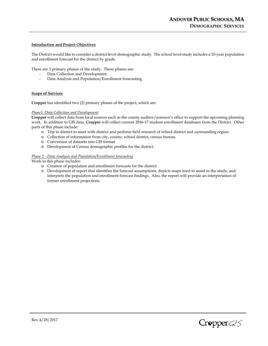# **Introduction and Project Objectives**

The District would like to consider a district-level demographic study. The school level study includes a 10-year population and enrollment forecast for the district by grade.

There are 3 primary phases of the study. These phases are:

- Data Collection and Development.
- Data Analysis and Population/Enrollment forecasting

#### **Scope of Services**

**Cropper** has identified two (2) primary phases of the project, which are:

#### *Phase1: Data Collection and Development*

**Cropper** will collect data from local sources such as the county auditor/assessor's office to support the upcoming planning work. In addition to GIS data, **Cropper** will collect current 2016-17 student enrollment databases from the District. Other parts of this phase include:

- o Trip to district to meet with district and perform field research of school district and surrounding region.
- o Collection of information from city, county, school district, census bureau.
- o Conversion of datasets into GIS format
- o Development of Census demographic profiles for the district.

# *Phase 2: - Data Analysis and Population/Enrollment forecasting*

Work in this phase includes:

- o Creation of population and enrollment forecasts for the district.
- o Development of report that identifies the forecast assumptions, depicts maps used to assist in the study, and interprets the population and enrollment forecast findings. Also, the report will provide an interpretation of former enrollment projections.



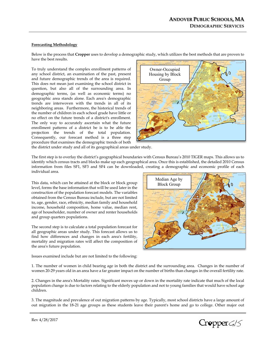# **Forecasting Methodology**

Below is the process that **Cropper** uses to develop a demographic study, which utilizes the best methods that are proven to have the best results.

To truly understand the complex enrollment patterns of any school district, an examination of the past, present and future demographic trends of the area is required. This does not mean just examining the school district in question, but also all of the surrounding area. In demographic terms, (as well as economic terms) no geographic area stands alone. Each area's demographic trends are interwoven with the trends in all of its neighboring areas. Furthermore, the historical trends of the number of children in each school grade have little or no effect on the future trends of a district's enrollment. The only way to accurately ascertain what the future enrollment patterns of a district be is to be able the projection the trends of the total population. Consequently, our forecast method is a three step procedure that examines the demographic trends of both



the district under study and all of its geographical areas under study.

The first step is to overlay the district's geographical boundaries with Census Bureau's 2010 TIGER maps. This allows us to identify which census tracts and blocks make up each geographical area. Once this is established, the detailed 2010 Census information from files SF1, SF3 and SF4 can be downloaded, creating a demographic and economic profile of each individual area.

This data, which can be attained at the block or block group level, forms the base information that will be used later in the construction of the population forecast models. The variables obtained from the Census Bureau include, but are not limited to, age, gender, race, ethnicity, median family and household income, household composition, home value, median rent, age of householder, number of owner and renter households and group quarters populations.

The second step is to calculate a total population forecast for all geographic areas under study. This forecast allows us to find how differences and changes in each area's fertility, mortality and migration rates will affect the composition of the area's future population.

Issues examined include but are not limited to the following:



1. The number of women in child bearing age in both the district and the surrounding area. Changes in the number of women 20-29 years old in an area have a far greater impact on the number of births than changes in the overall fertility rate.

2. Changes in the area's Mortality rates. Significant moves up or down in the mortality rate indicate that much of the local population change is due to factors relating to the elderly population and not to young families that would have school age children.

3. The magnitude and prevalence of out migration patterns by age. Typically, most school districts have a large amount of out migration in the 18-21 age groups as these students leave their parent's home and go to college. Other major out

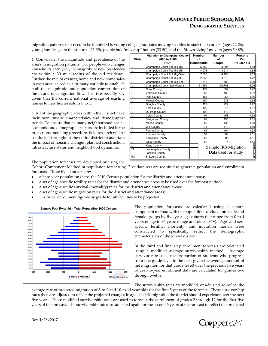migration patterns that need to be identified is young college graduates moving to cities to start their careers (ages 22-26), young families go to the suburbs (25-35), people buy "move up" houses (33-50), and the "down sizing" movers (ages 50-85).

4. Conversely, the magnitude and prevalence of the area's in migration patterns. For people who changes households each year, the majority of new residences are within a 30 mile radius of the old residence. Further the rate of existing home and new home sales in each area is used as a primary variable to establish both the magnitude and population composition of the in and out migration flow. This is especially key given that the current national average of existing homes to new homes sold is 8 to 1.

5. All of the geographic areas within the District have their own unique characteristics and demographic trends. To ensure that as many neighborhood social, economic and demographic factors are included in the projections modeling procedure, field research will be conducted throughout the entire district to ascertain the impact of housing changes, planned construction, infrastructure status and neighborhood dynamics.

|              | <b>Migration to Champaign County</b> | <b>Number</b>     | <b>Number</b>        | <b>Persons</b> |
|--------------|--------------------------------------|-------------------|----------------------|----------------|
| <b>State</b> | 2005 to 2006                         | οf                | of                   | Per            |
|              | From                                 | <b>Households</b> | People               | Household      |
| IL           | Champaign Count Tot Mig-US           | 5,689             | 8,994                | 1.58           |
| IL           | Champaign Count Tot Mig-US           | 4,973             | 8,211                | 1.65           |
| IL           | Champaign Count Tot Mig-Sam          | 2,635             | 4,198                | 1.59           |
| IL           | Champaign Count Tot Mig-Dif          | 2,338             | 4,013                | 1.72           |
| IL           | Champaign Count Tot Mig-For          | 716               | 783                  | 1.09           |
| IL           | Champaign Count Non-Migrant          | 61,554            | 126,763              | 2.06           |
| IL           | <b>Cook County</b>                   | 472               | 692                  | 1.47           |
| IL           | Vermilion County                     | 268               | 489                  | 1.82           |
| IL           | Piatt County                         | 154               | 256                  | 1.66           |
| IL           | <b>Mclean County</b>                 | 150               | 233                  | 1.55           |
| IL           | Douglas County                       | 129               | 222                  | 1.72           |
| IL           | Ford County                          | 129               | 215                  | 1.67           |
| IL           | Du Page County                       | 102               | 140                  | 1.37           |
| IL           | <b>Coles County</b>                  | 94                | 158                  | 1.68           |
| IL           | Sangamon County                      | 87                | 135                  | 1.55           |
| IL           | Macon County                         | 80                | 133                  | 1.66           |
| IL           | Will County                          | 74                | 118                  | 1.59           |
| IL           | Peoria County                        | 62                | 104                  | 1.68           |
| IL           | <b>Iroquois County</b>               | 59                | 89                   | 1.51           |
| IL           | Kankakee County                      | 53                | 96                   | 1.81           |
| IL           | Lake County                          | 52                | 74                   | 1.42           |
| IL           | Kane County                          |                   |                      |                |
| CA           | Los Angeles County                   |                   | Sample IRS Migration |                |
| IL           | <b>Jackson County</b>                |                   | Data used for study  |                |
| <b>MO</b>    | St Louis County                      |                   |                      |                |

The population forecasts are developed by using the

Cohort-Component Method of population forecasting. Five data sets are required to generate population and enrollment forecasts. These five data sets are:

- a base-year population (here, the 2010 Census population for the district and attendance areas);
- a set of age-specific fertility rates for the district and attendance areas to be used over the forecast period;
- a set of age-specific survival (mortality) rates for the district and attendance areas;
- a set of age-specific migration rates for the district and attendance areas;
- Historical enrollment figures by grade for all facilities to be projected.



The population forecasts are calculated using a cohortcomponent method with the populations divided into male and female groups by five-year age cohorts that range from 0-to-4 years of age to 85 years of age and older (85+). Age- and sexspecific fertility, mortality, and migration models were constructed to specifically reflect the demographic characteristics of the school district.

In the third and final step enrollment forecasts are calculated using a modified average survivorship method. Average survivor rates (i.e., the proportion of students who progress from one grade level to the next given the average amount of net migration for that grade level) over the previous five years of year-to-year enrollment data are calculated for grades two through twelve.

The survivorship rates are modified, or adjusted, to reflect the average rate of projected migration of 5-to-9 and 10-to-14 year olds for the first 5 years of the forecast. These survivorship rates then are adjusted to reflect the projected changes in age-specific migration the district should experience over the next five years. These modified survivorship rates are used to forecast the enrollment of grades 2 through 12 for the first five years of the forecast. The survivorship rates are adjusted again for the second 5 years of the forecast to reflect the predicted

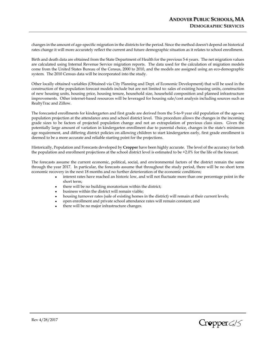changes in the amount of age-specific migration in the districts for the period. Since the method doesn't depend on historical rates change it will more accurately reflect the current and future demographic situation as it relates to school enrollment.

Birth and death data are obtained from the State Department of Health for the previous 5-6 years. The net migration values are calculated using Internal Revenue Service migration reports. The data used for the calculation of migration models come from the United States Bureau of the Census, 2000 to 2010, and the models are assigned using an eco-demographic system. The 2010 Census data will be incorporated into the study.

Other locally obtained variables (Obtained via City Planning and Dept. of Economic Development) that will be used in the construction of the population forecast models include but are not limited to: sales of existing housing units, construction of new housing units, housing price, housing tenure, household size, household composition and planned infrastructure improvements. Other internet-based resources will be leveraged for housing sale/cost analysis including sources such as RealtyTrac and Zillow.

The forecasted enrollments for kindergarten and first grade are derived from the 5-to-9 year old population of the age-sex population projection at the attendance area and school district level. This procedure allows the changes in the incoming grade sizes to be factors of projected population change and not an extrapolation of previous class sizes. Given the potentially large amount of variation in kindergarten enrollment due to parental choice, changes in the state's minimum age requirement, and differing district policies on allowing children to start kindergarten early, first grade enrollment is deemed to be a more accurate and reliable starting point for the projections.

Historically, Population and Forecasts developed by **Cropper** have been highly accurate. The level of the accuracy for both the population and enrollment projections at the school district level is estimated to be +2.0% for the life of the forecast.

The forecasts assume the current economic, political, social, and environmental factors of the district remain the same through the year 2017. In particular, the forecasts assume that throughout the study period, there will be no short term economic recovery in the next 18 months and no further deterioration of the economic conditions;

- interest rates have reached an historic low, and will not fluctuate more than one percentage point in the short term;
- there will be no building moratorium within the district;
- business within the district will remain viable;
- housing turnover rates (sale of existing homes in the district) will remain at their current levels;
- open enrollment and private school attendance rates will remain constant; and
- there will be no major infrastructure changes.